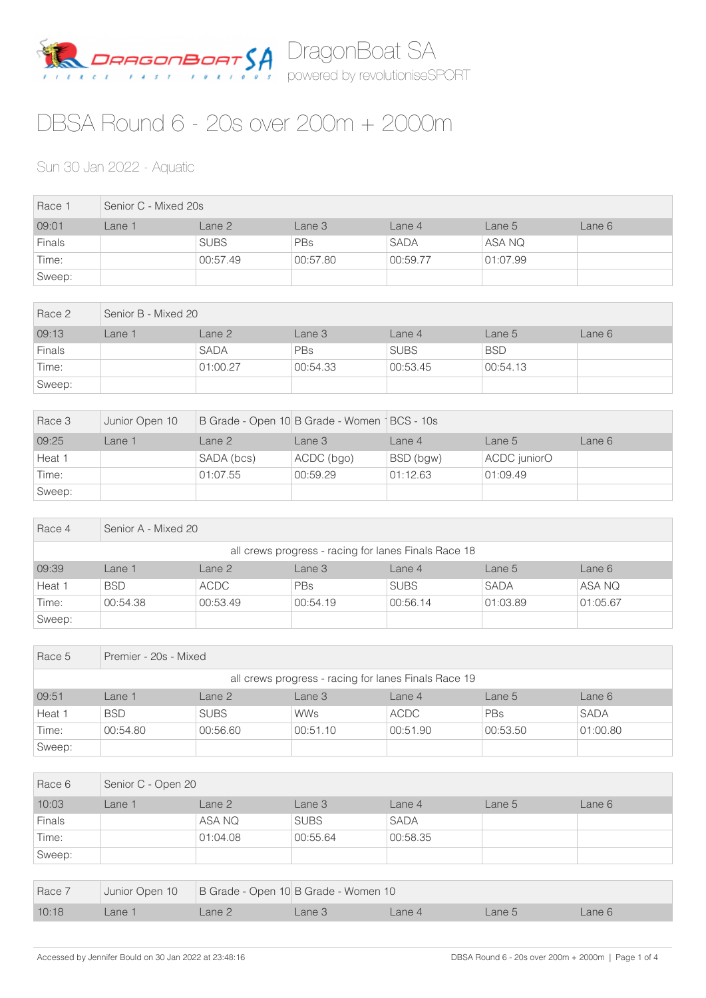

## DBSA Round 6 - 20s over 200m + 2000m

## Sun 30 Jan 2022 - Aquatic

| Race 1 | Senior C - Mixed 20s |             |            |             |          |        |  |  |
|--------|----------------------|-------------|------------|-------------|----------|--------|--|--|
| 09:01  | _ane 1               | Lane 2      | Lane 3     | Lane 4      | Lane 5   | Lane 6 |  |  |
| Finals |                      | <b>SUBS</b> | <b>PBs</b> | <b>SADA</b> | ASA NQ   |        |  |  |
| Time:  |                      | 00:57.49    | 00:57.80   | 00:59.77    | 01:07.99 |        |  |  |
| Sweep: |                      |             |            |             |          |        |  |  |

| Race 2        | Senior B - Mixed 20 |             |            |             |            |        |  |  |
|---------------|---------------------|-------------|------------|-------------|------------|--------|--|--|
| 09:13         | Lane 1              | Lane 2      | Lane 3     | Lane 4      | Lane 5     | Lane 6 |  |  |
| <b>Finals</b> |                     | <b>SADA</b> | <b>PBs</b> | <b>SUBS</b> | <b>BSD</b> |        |  |  |
| Time:         |                     | 01:00.27    | 00:54.33   | 00:53.45    | 00:54.13   |        |  |  |
| Sweep:        |                     |             |            |             |            |        |  |  |

| Race 3 | Junior Open 10 | B Grade - Open 10 B Grade - Women   BCS - 10s |            |           |              |        |
|--------|----------------|-----------------------------------------------|------------|-----------|--------------|--------|
| 09:25  | _ane 1         | Lane 2                                        | Lane 3     | Lane 4    | Lane 5       | Lane 6 |
| Heat 1 |                | SADA (bcs)                                    | ACDC (bgo) | BSD (bgw) | ACDC juniorO |        |
| Time:  |                | 01:07.55                                      | 00:59.29   | 01:12.63  | 01:09.49     |        |
| Sweep: |                |                                               |            |           |              |        |

| Race 4 | Senior A - Mixed 20                                  |             |            |             |             |          |  |  |  |
|--------|------------------------------------------------------|-------------|------------|-------------|-------------|----------|--|--|--|
|        | all crews progress - racing for lanes Finals Race 18 |             |            |             |             |          |  |  |  |
| 09:39  | Lane 1                                               | Lane 2      | Lane 3     | Lane 4      | Lane 5      | Lane 6   |  |  |  |
| Heat 1 | <b>BSD</b>                                           | <b>ACDC</b> | <b>PBs</b> | <b>SUBS</b> | <b>SADA</b> | ASA NQ   |  |  |  |
| Time:  | 00:54.38                                             | 00:53.49    | 00:54.19   | 00:56.14    | 01:03.89    | 01:05.67 |  |  |  |
| Sweep: |                                                      |             |            |             |             |          |  |  |  |

| Race 5                                               | Premier - 20s - Mixed |             |            |             |          |             |  |  |
|------------------------------------------------------|-----------------------|-------------|------------|-------------|----------|-------------|--|--|
| all crews progress - racing for lanes Finals Race 19 |                       |             |            |             |          |             |  |  |
| 09:51                                                | Lane 1                | Lane 2      | Lane 3     | Lane 4      | Lane 5   | Lane 6      |  |  |
| Heat 1                                               | <b>BSD</b>            | <b>SUBS</b> | <b>WWs</b> | <b>ACDC</b> | PBs      | <b>SADA</b> |  |  |
| Time:                                                | 00:54.80              | 00:56.60    | 00:51.10   | 00:51.90    | 00:53.50 | 01:00.80    |  |  |
| Sweep:                                               |                       |             |            |             |          |             |  |  |

| Race 6        | Senior C - Open 20 |          |             |             |        |        |  |  |
|---------------|--------------------|----------|-------------|-------------|--------|--------|--|--|
| 10:03         | Lane 1             | Lane 2   | Lane 3      | Lane 4      | Lane 5 | Lane 6 |  |  |
| <b>Finals</b> |                    | ASA NQ   | <b>SUBS</b> | <b>SADA</b> |        |        |  |  |
| Time:         |                    | 01:04.08 | 00:55.64    | 00:58.35    |        |        |  |  |
| Sweep:        |                    |          |             |             |        |        |  |  |

| Race 7 |       |        | Junior Open 10 B Grade - Open 10 B Grade - Women 10 |        |        |        |  |
|--------|-------|--------|-----------------------------------------------------|--------|--------|--------|--|
| 10:18  | ane 1 | Lane 2 | Lane 3                                              | Lane 4 | Lane 5 | Lane 6 |  |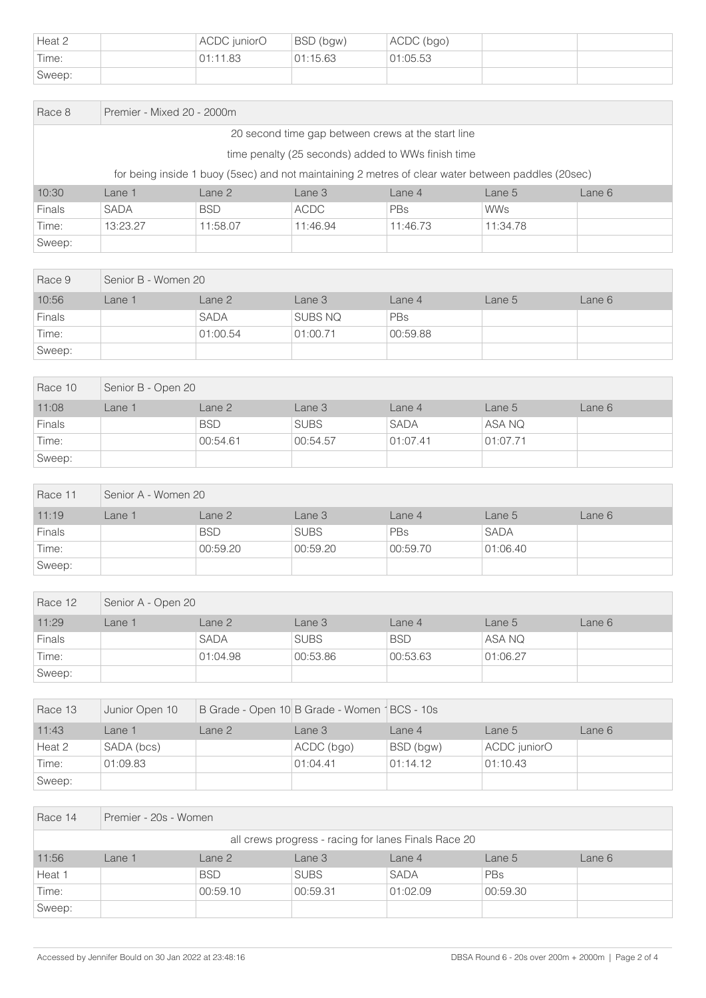| Heat 2 | ACDC juniorO | BSD (bgw) | ACDC (bgo) |  |
|--------|--------------|-----------|------------|--|
| Time:  | 01:11.83     | 01:15.63  | 01:05.53   |  |
| Sweep: |              |           |            |  |

| Race 8                                                                                             |             | Premier - Mixed 20 - 2000m |             |            |            |        |  |  |  |
|----------------------------------------------------------------------------------------------------|-------------|----------------------------|-------------|------------|------------|--------|--|--|--|
| 20 second time gap between crews at the start line                                                 |             |                            |             |            |            |        |  |  |  |
| time penalty (25 seconds) added to WWs finish time                                                 |             |                            |             |            |            |        |  |  |  |
| for being inside 1 buoy (5sec) and not maintaining 2 metres of clear water between paddles (20sec) |             |                            |             |            |            |        |  |  |  |
| 10:30                                                                                              | Lane 1      | Lane 2                     | Lane 3      | Lane 4     | Lane 5     | Lane 6 |  |  |  |
| <b>Finals</b>                                                                                      | <b>SADA</b> | <b>BSD</b>                 | <b>ACDC</b> | <b>PBs</b> | <b>WWs</b> |        |  |  |  |
| Time:                                                                                              | 13:23.27    | 11:58.07                   | 11:46.94    | 11:46.73   | 11:34.78   |        |  |  |  |
| Sweep:                                                                                             |             |                            |             |            |            |        |  |  |  |

| Race 9        | Senior B - Women 20 |             |          |          |        |        |  |  |
|---------------|---------------------|-------------|----------|----------|--------|--------|--|--|
| 10:56         | Lane 1              | Lane 2      | Lane 3   | Lane 4   | Lane 5 | Lane 6 |  |  |
| <b>Finals</b> |                     | <b>SADA</b> | SUBS NQ  | PBs      |        |        |  |  |
| Time:         |                     | 01:00.54    | 01:00.71 | 00:59.88 |        |        |  |  |
| Sweep:        |                     |             |          |          |        |        |  |  |

| Race 10       | Senior B - Open 20 |            |             |             |          |        |  |  |
|---------------|--------------------|------------|-------------|-------------|----------|--------|--|--|
| 11:08         | Lane 1             | Lane 2     | Lane 3      | Lane 4      | Lane 5   | Lane 6 |  |  |
| <b>Finals</b> |                    | <b>BSD</b> | <b>SUBS</b> | <b>SADA</b> | ASA NQ   |        |  |  |
| Time:         |                    | 00:54.61   | 00:54.57    | 01:07.41    | 01:07.71 |        |  |  |
| Sweep:        |                    |            |             |             |          |        |  |  |

| Race 11 | Senior A - Women 20 |            |             |          |             |        |  |  |
|---------|---------------------|------------|-------------|----------|-------------|--------|--|--|
| 11:19   | Lane 1              | Lane 2     | Lane 3      | Lane 4   | Lane 5      | Lane 6 |  |  |
| Finals  |                     | <b>BSD</b> | <b>SUBS</b> | PBs      | <b>SADA</b> |        |  |  |
| Time:   |                     | 00:59.20   | 00:59.20    | 00:59.70 | 01:06.40    |        |  |  |
| Sweep:  |                     |            |             |          |             |        |  |  |

| Race 12 | Senior A - Open 20 |             |             |            |          |        |  |  |
|---------|--------------------|-------------|-------------|------------|----------|--------|--|--|
| 11:29   | _ane 1             | Lane 2      | Lane 3      | Lane 4     | Lane 5   | Lane 6 |  |  |
| Finals  |                    | <b>SADA</b> | <b>SUBS</b> | <b>BSD</b> | ASA NQ   |        |  |  |
| Time:   |                    | 01:04.98    | 00:53.86    | 00:53.63   | 01:06.27 |        |  |  |
| Sweep:  |                    |             |             |            |          |        |  |  |

| Race 13 | Junior Open 10 | B Grade - Open 10 B Grade - Women   BCS - 10s |            |           |              |        |
|---------|----------------|-----------------------------------------------|------------|-----------|--------------|--------|
| 11:43   | ∟ane 1         | Lane 2                                        | Lane 3     | Lane 4    | Lane $51$    | Lane 6 |
| Heat 2  | SADA (bcs)     |                                               | ACDC (bgo) | BSD (bgw) | ACDC juniorO |        |
| Time:   | 01:09.83       |                                               | 01:04.41   | 01:14.12  | 01:10.43     |        |
| Sweep:  |                |                                               |            |           |              |        |

| Race 14                                              | Premier - 20s - Women |            |             |          |          |        |  |  |
|------------------------------------------------------|-----------------------|------------|-------------|----------|----------|--------|--|--|
| all crews progress - racing for lanes Finals Race 20 |                       |            |             |          |          |        |  |  |
| 11:56                                                | Lane 1                | Lane 2     | Lane 3      | Lane 4   | Lane 5   | Lane 6 |  |  |
| Heat 1                                               |                       | <b>BSD</b> | <b>SUBS</b> | SADA     | PBs      |        |  |  |
| Time:                                                |                       | 00:59.10   | 00:59.31    | 01:02.09 | 00:59.30 |        |  |  |
| Sweep:                                               |                       |            |             |          |          |        |  |  |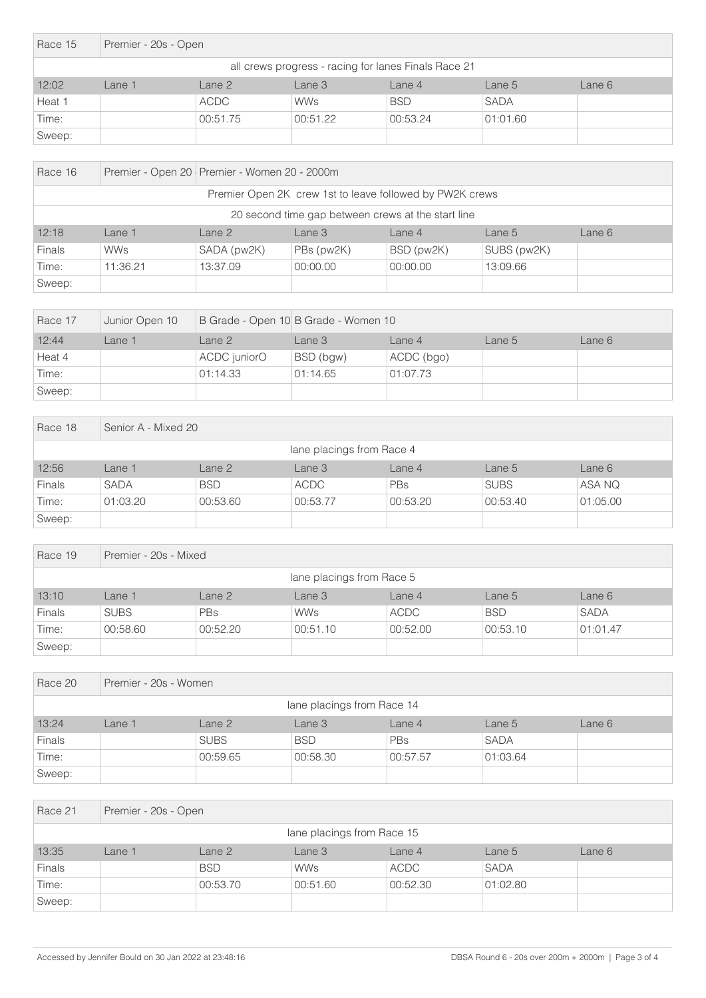| Race 15 | Premier - 20s - Open                                 |             |            |            |             |        |  |  |
|---------|------------------------------------------------------|-------------|------------|------------|-------------|--------|--|--|
|         | all crews progress - racing for lanes Finals Race 21 |             |            |            |             |        |  |  |
| 12:02   | Lane 1                                               | Lane 2      | Lane 3     | Lane 4     | Lane 5      | Lane 6 |  |  |
| Heat 1  |                                                      | <b>ACDC</b> | <b>WWs</b> | <b>BSD</b> | <b>SADA</b> |        |  |  |
| Time:   |                                                      | 00:51.75    | 00:51.22   | 00:53.24   | 01:01.60    |        |  |  |
| Sweep:  |                                                      |             |            |            |             |        |  |  |

| Race 16                                                  | Premier - Open 20   Premier - Women 20 - 2000m     |                   |            |            |             |        |  |  |
|----------------------------------------------------------|----------------------------------------------------|-------------------|------------|------------|-------------|--------|--|--|
| Premier Open 2K crew 1st to leave followed by PW2K crews |                                                    |                   |            |            |             |        |  |  |
|                                                          | 20 second time gap between crews at the start line |                   |            |            |             |        |  |  |
| 12:18                                                    | Lane 1                                             | Lane <sub>2</sub> | Lane 3     | Lane $4$   | Lane 5      | Lane 6 |  |  |
| <b>Finals</b>                                            | <b>WWs</b>                                         | SADA (pw2K)       | PBs (pw2K) | BSD (pw2K) | SUBS (pw2K) |        |  |  |
| Time:                                                    | 11:36.21                                           | 13:37.09          | 00:00.00   | 00:00.00   | 13:09.66    |        |  |  |
| Sweep:                                                   |                                                    |                   |            |            |             |        |  |  |

| Race 17 | Junior Open 10 |              | B Grade - Open 10 B Grade - Women 10 |            |        |        |  |
|---------|----------------|--------------|--------------------------------------|------------|--------|--------|--|
| 12:44   | Lane 1         | Lane 2       | Lane 3                               | Lane $4$   | Lane 5 | Lane 6 |  |
| Heat 4  |                | ACDC juniorO | BSD (bgw)                            | ACDC (bgo) |        |        |  |
| Time:   |                | 01:14.33     | 01:14.65                             | 01:07.73   |        |        |  |
| Sweep:  |                |              |                                      |            |        |        |  |

| Race 18                   | Senior A - Mixed 20 |            |             |          |             |          |  |  |
|---------------------------|---------------------|------------|-------------|----------|-------------|----------|--|--|
| lane placings from Race 4 |                     |            |             |          |             |          |  |  |
| 12:56                     | Lane 1              | Lane 2     | Lane 3      | Lane 4   | Lane 5      | Lane 6   |  |  |
| Finals                    | <b>SADA</b>         | <b>BSD</b> | <b>ACDC</b> | PBs      | <b>SUBS</b> | ASA NQ   |  |  |
| Time:                     | 01:03.20            | 00:53.60   | 00:53.77    | 00:53.20 | 00:53.40    | 01:05.00 |  |  |
| Sweep:                    |                     |            |             |          |             |          |  |  |

| Race 19                   |             | Premier - 20s - Mixed |            |             |            |             |  |  |  |
|---------------------------|-------------|-----------------------|------------|-------------|------------|-------------|--|--|--|
| lane placings from Race 5 |             |                       |            |             |            |             |  |  |  |
| 13:10                     | Lane 1      | Lane 2                | Lane 3     | Lane 4      | Lane 5     | Lane 6      |  |  |  |
| <b>Finals</b>             | <b>SUBS</b> | <b>PBs</b>            | <b>WWs</b> | <b>ACDC</b> | <b>BSD</b> | <b>SADA</b> |  |  |  |
| Time:                     | 00:58.60    | 00:52.20              | 00:51.10   | 00:52.00    | 00:53.10   | 01:01.47    |  |  |  |
| Sweep:                    |             |                       |            |             |            |             |  |  |  |

| Race 20 | Premier - 20s - Women      |             |            |          |             |        |  |  |
|---------|----------------------------|-------------|------------|----------|-------------|--------|--|--|
|         | lane placings from Race 14 |             |            |          |             |        |  |  |
| 13:24   | Lane 1                     | Lane 2      | Lane 3     | Lane 4   | Lane 5      | Lane 6 |  |  |
| Finals  |                            | <b>SUBS</b> | <b>BSD</b> | PBs      | <b>SADA</b> |        |  |  |
| Time:   |                            | 00:59.65    | 00:58.30   | 00:57.57 | 01:03.64    |        |  |  |
| Sweep:  |                            |             |            |          |             |        |  |  |

| Race 21                    | Premier - 20s - Open |            |            |             |             |        |  |  |
|----------------------------|----------------------|------------|------------|-------------|-------------|--------|--|--|
| lane placings from Race 15 |                      |            |            |             |             |        |  |  |
| 13:35                      | Lane 1               | Lane 2     | Lane 3     | Lane 4      | Lane 5      | Lane 6 |  |  |
| Finals                     |                      | <b>BSD</b> | <b>WWs</b> | <b>ACDC</b> | <b>SADA</b> |        |  |  |
| Time:                      |                      | 00:53.70   | 00:51.60   | 00:52.30    | 01:02.80    |        |  |  |
| Sweep:                     |                      |            |            |             |             |        |  |  |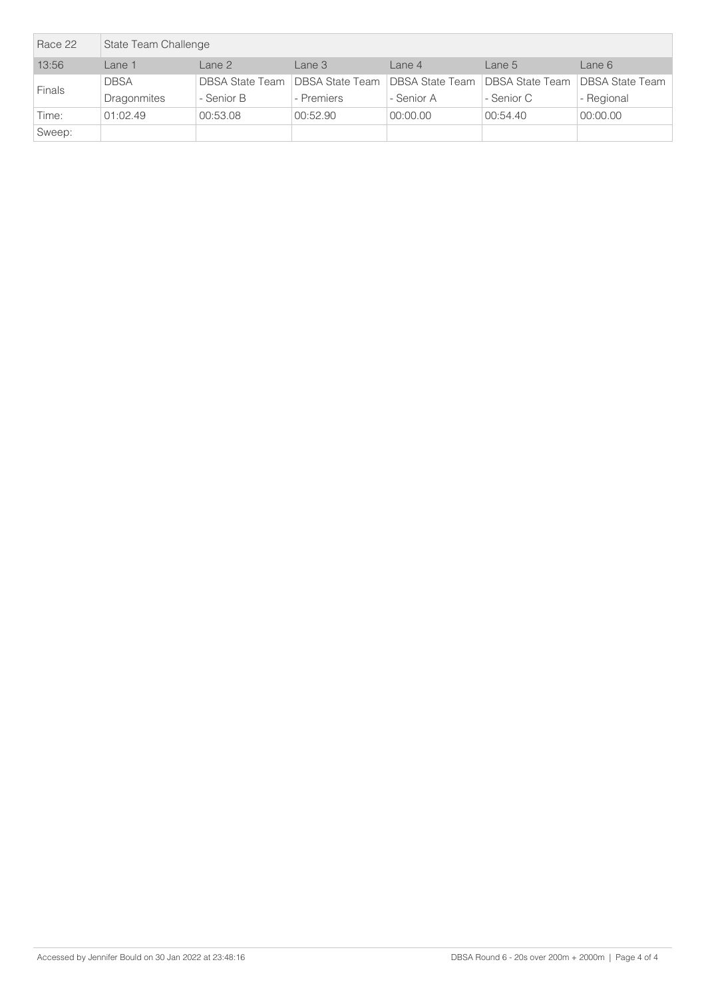| Race 22       | State Team Challenge |                   |                                   |                 |                                        |            |  |
|---------------|----------------------|-------------------|-----------------------------------|-----------------|----------------------------------------|------------|--|
| 13:56         | Lane 1               | Lane <sub>2</sub> | Lane 3                            | Lane $4$        | Lane $51$                              | Lane 6     |  |
|               | <b>DBSA</b>          |                   | DBSA State Team   DBSA State Team | DBSA State Team | <b>DBSA State Team DBSA State Team</b> |            |  |
| <b>Finals</b> | <b>Dragonmites</b>   | - Senior B        | - Premiers                        | - Senior A      | - Senior C                             | - Regional |  |
| Time:         | 01:02.49             | 00:53.08          | 00:52.90                          | 00:00.00        | 00:54.40                               | 00:00.00   |  |
| Sweep:        |                      |                   |                                   |                 |                                        |            |  |